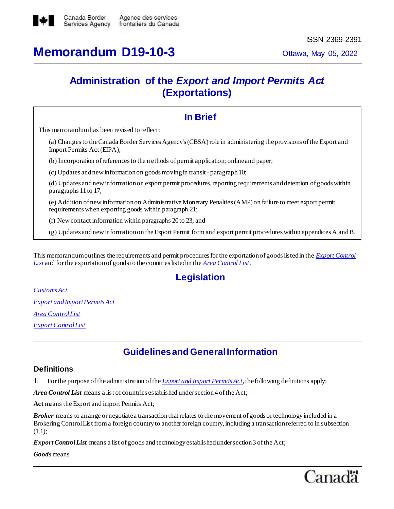

# **Memorandum D19-10-3** Ottawa, May 05, 2022

## **Administration of the** *Export and Import Permits Act* **(Exportations)**

| <b>In Brief</b>                                                                                                                                                       |  |  |  |  |  |  |
|-----------------------------------------------------------------------------------------------------------------------------------------------------------------------|--|--|--|--|--|--|
| This memorandum has been revised to reflect:                                                                                                                          |  |  |  |  |  |  |
| (a) Changes to the Canada Border Services Agency's (CBSA) role in administering the provisions of the Export and<br>Import Permits Act (EIPA);                        |  |  |  |  |  |  |
| (b) Incorporation of references to the methods of permit application; online and paper;                                                                               |  |  |  |  |  |  |
| (c) Updates and new information on goods moving in transit - paragraph 10;                                                                                            |  |  |  |  |  |  |
| (d) Updates and new information on export permit procedures, reporting requirements and detention of goods within<br>paragraphs 11 to 17;                             |  |  |  |  |  |  |
| (e) Addition of new information on Administrative Monetary Penalties (AMP) on failure to meet export permit<br>requirements when exporting goods within paragraph 21; |  |  |  |  |  |  |
| (f) New contact information within paragraphs $20$ to $23$ ; and                                                                                                      |  |  |  |  |  |  |
| (g) Updates and new information on the Export Permit form and export permit procedures within appendices A and B.                                                     |  |  |  |  |  |  |
|                                                                                                                                                                       |  |  |  |  |  |  |

This memorandum outlines the requirements and permit procedures for the exportation of goods listed in the *[Export Control](http://laws-lois.justice.gc.ca/eng/regulations/SOR-89-202/index.html)  [List](http://laws-lois.justice.gc.ca/eng/regulations/SOR-89-202/index.html)* and for the exportation of goods to the countries listed in the *[Area Control List](https://laws-lois.justice.gc.ca/eng/regulations/SOR-81-543/FullText.html)*.

## **Legislation**

*[Customs](http://laws.justice.gc.ca/eng/acts/C-52.6/index.html) Act [Export and Import Permits Act](http://laws-lois.justice.gc.ca/eng/acts/e-19/) [Area Control List](https://laws-lois.justice.gc.ca/eng/regulations/SOR-81-543/index.html) [Export Control List](http://laws-lois.justice.gc.ca/eng/regulations/SOR-89-202/index.html)*

## **Guidelinesand GeneralInformation**

### **Definitions**

1. For the purpose of the administration of the *[Export and Import Permits Act](http://laws-lois.justice.gc.ca/eng/acts/e-19/)*, the following definitions apply:

*Area Control List* means a list of countries established under section 4 of the Act;

**Act** means the Export and import Permits Act;

*Broker* means to arrange or negotiate a transaction that relates to the movement of goods or technology included in a Brokering Control List from a foreign country to another foreign country, including a transaction referred to in subsection (1.1);

*Export Control List* means a list of goods and technology established under section 3 of the Act;

*Goods*means

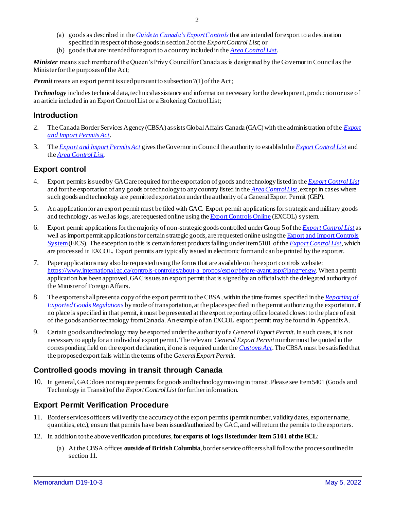- (a) goods as described in the *[Guideto Canada's Export Controls](https://www.international.gc.ca/controls-controles/about-a_propos/expor/guide-2018.aspx?lang=eng)*that are intended for export to a destination specified in respect of those goods in section 2 of the *Export Control List*; or
- (b) goods that are intended for export to a country included in the *[Area Control List](https://laws.justice.gc.ca/eng/regulations/SOR-81-543)*.

*Minister* means such member of the Queen's Privy Council for Canada as is designated by the Governor in Council as the Minister for the purposes of the Act;

*Permit* means an export permit issued pursuant to subsection 7(1) of the Act;

*Technology* includes technical data, technical assistance and information necessary for the development, production or use of an article included in an Export Control List or a Brokering Control List;

#### **Introduction**

- 2. The Canada Border Services Agency (CBSA) assists Global Affairs Canada (GAC) with the administration of the *[Export](http://laws-lois.justice.gc.ca/eng/acts/e-19/)  [and Import Permits Act](http://laws-lois.justice.gc.ca/eng/acts/e-19/)*.
- 3. The *[Export and Import Permits Act](http://laws-lois.justice.gc.ca/eng/acts/e-19/)* gives the Governor in Council the authority to establish the *[Export Control List](http://laws-lois.justice.gc.ca/eng/regulations/SOR-89-202/index.html)* and the *[Area Control List](http://laws-lois.justice.gc.ca/eng/regulations/SOR-81-543/index.html)*.

### **Export control**

- 4. Export permits issued by GACare required for the exportation of goods and technology listed in the *[Export Control List](http://laws-lois.justice.gc.ca/eng/regulations/SOR-89-202/index.html)* and for the exportation of any goods or technology to any country listed in the *[Area Control List](http://laws-lois.justice.gc.ca/eng/regulations/SOR-81-543/index.html)*, except in cases where such goods and technology are permitted exportation under the authority of a General Export Permit (GEP).
- 5. An application for an export permit must be filed with GAC. Export permit applications for strategic and military goods and technology, as well as logs, are requested online using th[e Export Controls Online](https://www.international.gc.ca/controls-controles/systems-systemes/excol-ceed/index.aspx?lang=eng) (EXCOL) system.
- 6. Export permit applications for the majority of non-strategic goods controlled under Group 5 of the *[Export Control](http://laws-lois.justice.gc.ca/eng/regulations/SOR-89-202/index.html) List* as well as import permit applications for certain strategic goods, are requested online using the Export and Import Controls [System](https://www.international.gc.ca/controls-controles/systems-systemes/eics-scei/index.aspx?lang=eng) (EICS). The exception to this is certain forest products falling under Item 5101 of the *[Export Control List](http://laws-lois.justice.gc.ca/eng/regulations/SOR-89-202/index.html)*, which are processed in EXCOL. Export permits are typically issued in electronic form and can be printed by the exporter.
- 7. Paper applications may also be requested using the forms that are available on the export controls website: [https://www.international.gc.ca/controls-controles/about-a\\_propos/expor/before-avant.aspx?lang=engw](https://www.international.gc.ca/controls-controles/about-a_propos/expor/before-avant.aspx?lang=eng). When a permit application has been approved, GAC issues an export permit that is signed by an official with the delegated authority of the Minister of Foreign Affairs.
- 8. The exporter shall present a copy of the export permit to the CBSA, within the time frames specified in the *[Reporting of](https://lois-laws.justice.gc.ca/eng/regulations/SOR-2005-23/)  [Exported Goods Regulations](https://lois-laws.justice.gc.ca/eng/regulations/SOR-2005-23/)* by mode of transportation, at the place specified in the permit authorizing the exportation. If no place is specified in that permit, it must be presented at the export reporting office located closest to the place of exit of the goods and/ortechnology from Canada.An example of an EXCOL export permit may be found in Appendix A.
- 9. Certain goods and technology may be exported under the authority of a *General Export Permit*. In such cases, it is not necessary to apply for an individual export permit. The relevant *General Export Permit* number must be quoted in the corresponding field on the export declaration, if one is required under the *[Customs Act](http://laws.justice.gc.ca/eng/acts/C-52.6/index.html)*. The CBSA must be satisfied that the proposed export falls within the terms of the *General Export Permit*.

### **Controlled goods moving in transit through Canada**

10. In general, GAC does not require permits for goods and technology moving in transit. Please see Item 5401 (Goods and Technology in Transit) of the *Export Control List* for further information.

### **Export Permit Verification Procedure**

- 11. Border services officers willverify the accuracy of the export permits (permit number, validity dates, exporter name, quantities, etc.), ensure that permits have been issued/authorized by GAC, and will return the permits to the exporters.
- 12. In addition to the above verification procedures, **for exports of logs listed under Item 5101 of the ECL**:
	- (a) At the CBSA offices **outside of British Columbia**, border service officers shall follow the process outlined in section 11.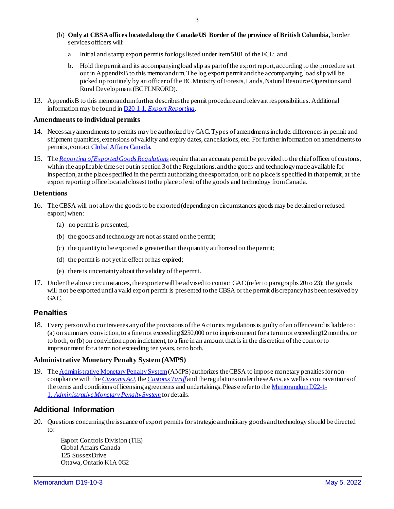- (b) **Only at CBSA offices located along the Canada/US Border of the province of British Columbia**, border services officers will:
	- a. Initial and stamp export permits for logs listed under Item 5101 of the ECL; and
	- b. Hold the permit and its accompanying load slip as part of the export report, according to the procedure set out i[n AppendixB](#page-5-0) to this memorandum. The log export permit and the accompanying load slip will be picked up routinely by an officer of the BC Ministry of Forests, Lands, Natural Resource Operations and Rural Development (BC FLNRORD).
- 13. [Appendix B](#page-5-0) to this memorandum further describes the permit procedure and relevant responsibilities. Additional information may be found in D20-1-1, *[Export Reporting](https://www.cbsa-asfc.gc.ca/publications/dm-md/d20/d20-1-1-eng.html)*.

#### **Amendments to individual permits**

- 14. Necessary amendments to permits may be authorized by GAC. Types of amendments include: differences in permit and shipment quantities, extensions of validity and expiry dates, cancellations, etc. For further information on amendments to permits, conta[ct Global Affairs Canada](mailto:TIN@international.gc.ca).
- 15. The *[Reporting of Exported Goods Regulations](https://laws-lois.justice.gc.ca/eng/regulations/sor-2005-23/index.html)*require that an accurate permit be provided to the chief officer of customs, within the applicable time set out in section 3 of the Regulations, and the goods and technology made available for inspection, at the place specified in the permit authorizing the exportation, or if no place is specified in that permit, at the export reporting office located closest to the place of exit of the goods and technology from Canada.

#### **Detentions**

- 16. The CBSA will not allowthe goods to be exported (depending on circumstances goods may be detained or refused export) when:
	- (a) no permit is presented;
	- (b) the goods and technology are not as stated on the permit;
	- (c) the quantity to be exported is greater than the quantity authorized on the permit;
	- (d) the permit is not yet in effect or has expired;
	- (e) there is uncertainty about the validity of the permit.
- 17. Under the above circumstances, the exporter will be advised to contact GAC (refer to paragraphs 20 to 23); the goods will not be exported until a valid export permit is presented to the CBSA or the permit discrepancy has been resolved by GAC.

### **Penalties**

18. Every person who contravenes any of the provisions of the Act or its regulations is guilty of an offence and is liable to : (a) on summary conviction, to a fine not exceeding \$250,000 or to imprisonment for a term not exceeding12 months, or to both; or (b) on conviction upon indictment, to a fine in an amount that is in the discretion of the court or to imprisonment for a term not exceeding ten years, or to both.

#### **Administrative Monetary Penalty System (AMPS)**

19. The [Administrative Monetary Penalty System](https://www.cbsa-asfc.gc.ca/trade-commerce/amps/menu-eng.html) (AMPS) authorizes the CBSA to impose monetary penalties for noncompliance with the *[Customs Act](https://laws-lois.justice.gc.ca/eng/acts/C-52.6/index.html),*the *[Customs Tariff](https://www.cbsa-asfc.gc.ca/trade-commerce/tariff-tarif/menu-eng.html)* and the regulations under these Acts, as well as contraventions of the terms and conditions of licensing agreements and undertakings. Please refer to the [Memorandum D22-1-](https://www.cbsa-asfc.gc.ca/publications/dm-md/d22/d22-1-1-eng.html) 1, *[AdministrativeMonetary Penalty System](https://www.cbsa-asfc.gc.ca/publications/dm-md/d22/d22-1-1-eng.html)*for details.

### **Additional Information**

20. Questions concerning the issuance of export permits for strategic and military goods and technology should be directed to:

Export Controls Division (TIE) Global Affairs Canada 125 Sussex Drive Ottawa, Ontario K1A 0G2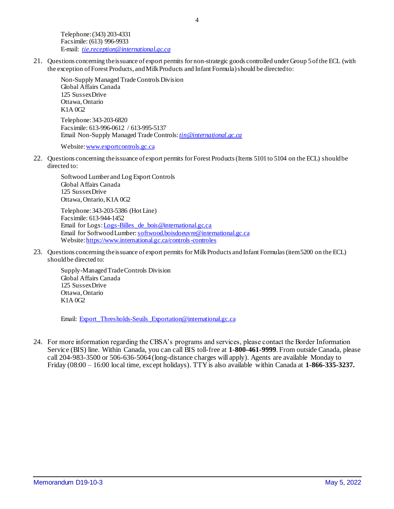Telephone: (343) 203-4331 Facsimile: (613) 996-9933 E-mail: *[tie.reception@international.gc.ca](mailto:tie.reception@international.gc.ca)*

21. Questions concerning the issuance of export permits for non-strategic goods controlled under Group 5 of the ECL (with the exception of Forest Products, and Milk Products and Infant Formula) should be directed to:

Non-Supply Managed Trade Controls Division Global Affairs Canada 125 Sussex Drive Ottawa, Ontario K1A 0G2 Telephone: 343-203-6820 Facsimile: 613-996-0612 / 613-995-5137 Email Non-Supply Managed Trade Controls: *[tin@international.gc.ca](mailto:tin@international.gc.ca)*

Website[: www.exportcontrols.gc.ca](http://www.exportcontrols.gc.ca/)

22. Questions concerning the issuance of export permits for Forest Products (Items 5101 to 5104 on the ECL) should be directed to:

Softwood Lumber and Log Export Controls Global Affairs Canada 125 Sussex Drive Ottawa, Ontario, K1A 0G2

Telephone: 343-203-5386 (Hot Line) Facsimile: 613-944-1452 Email for Logs[: Logs-Billes\\_de\\_bois@international.gc.ca](mailto:Logs-Billes_de_bois@international.gc.ca) Email for Softwood Lumber[: softwood.boisdoeuvre@international.gc.ca](mailto:softwood.boisdoeuvre@international.gc.ca) Website[: https://www.international.gc.ca/controls-controles](https://www.international.gc.ca/controls-controles)

23. Questions concerning the issuance of export permits for Milk Products and Infant Formulas(item5200 on the ECL) should be directed to:

Supply-Managed Trade Controls Division Global Affairs Canada 125 Sussex Drive Ottawa, Ontario K1A 0G2

Email: [Export\\_Thresholds-Seuils\\_Exportation@international.gc.ca](mailto:Export_Thresholds-Seuils_Exportation@international.gc.ca)

24. For more information regarding the CBSA's programs and services, please contact the Border Information Service (BIS) line. Within Canada, you can call BIS toll-free at **1-800-461-9999**. From outside Canada, please call 204-983-3500 or 506-636-5064 (long-distance charges will apply). Agents are available Monday to Friday (08:00 – 16:00 local time, except holidays). TTY is also available within Canada at **1-866-335-3237.**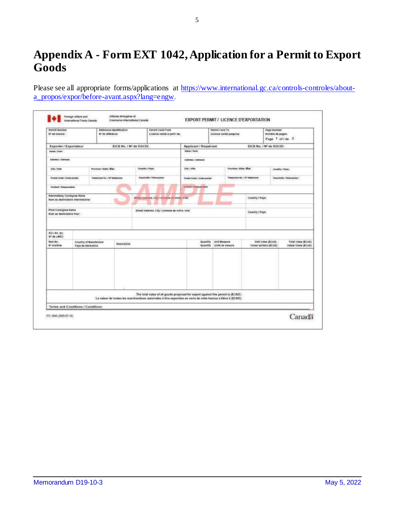# **Appendix A - Form EXT 1042, Application for a Permit to Export Goods**

Please see all appropriate forms/applications at [https://www.international.gc.ca/controls-controles/about](https://www.international.gc.ca/controls-controles/about-a_propos/expor/before-avant.aspx?lang=eng)[a\\_propos/expor/before-avant.aspx?lang=engw](https://www.international.gc.ca/controls-controles/about-a_propos/expor/before-avant.aspx?lang=eng).

| <b>Permit Number</b><br>Nº de licence:                    |                                                              | Reference Identification<br>Nº de reference:     |                         | <b>Parmit Vald From</b><br>Licence valide à partir du |                            |                                                        | Parmit Valid To<br>Licence valids juxqu'au                                                                    |                                 | Page lismber<br>Notchie de pages:<br>Page 1 of f de 2             |                           |
|-----------------------------------------------------------|--------------------------------------------------------------|--------------------------------------------------|-------------------------|-------------------------------------------------------|----------------------------|--------------------------------------------------------|---------------------------------------------------------------------------------------------------------------|---------------------------------|-------------------------------------------------------------------|---------------------------|
| Exporter / Exportateur                                    |                                                              |                                                  | EICB No. / Nº de DGCEI: | Applicant / Requerant                                 |                            | EICB No. / Nº de DGCEI:                                |                                                                                                               |                                 |                                                                   |                           |
| Nancy / Now                                               |                                                              |                                                  |                         |                                                       | <b>Mann</b> / Nom.         |                                                        |                                                                                                               |                                 |                                                                   |                           |
| Adams / Admiss                                            |                                                              |                                                  |                         |                                                       | Address / Address:         |                                                        |                                                                                                               |                                 |                                                                   |                           |
| <b>City / Vitter</b>                                      |                                                              | <b>Country / Pape:</b><br>Province   Hale / Blut |                         | <b>Elfan Villey</b>                                   |                            | Francisco / Kitala / Blutt                             |                                                                                                               | <b>Country / Pays:</b>          |                                                                   |                           |
| Postel Code / Code powiati                                |                                                              | Telephone No. / IV Miladune:                     |                         | Facebooks / Telecopiest                               |                            | Fustal Dode / Code postal:                             |                                                                                                               | Telephone No. / Nº falde/soldar |                                                                   | Fanalmille / Telecopieur: |
| <b>Contact: Heconocation</b>                              |                                                              |                                                  |                         |                                                       | <b>Contact Chappenster</b> |                                                        |                                                                                                               |                                 |                                                                   |                           |
| <b>Intermediary Consignee Name</b>                        | Nors ou destinataire intermediaire:                          |                                                  |                         | Efred Amount, City / Atruste in vertic video          |                            |                                                        |                                                                                                               | Country / Pays:                 |                                                                   |                           |
| <b>Final Consignee Name</b><br>Nom ou destinataire finan: |                                                              |                                                  |                         | Street Address, City / Adriente de volvie, Ville:     |                            |                                                        |                                                                                                               | Country / Paye:                 |                                                                   |                           |
| ECL NO. INC.<br>IV' de LMEC:                              |                                                              |                                                  |                         |                                                       |                            |                                                        |                                                                                                               |                                 |                                                                   |                           |
| <b>Burn No.</b><br>te games                               | Country of Manufacture<br>Description<br>Pays de fabrication |                                                  |                         |                                                       |                            | Quartify<br>Link Museure<br>Quantité<br>Unfa da meaure |                                                                                                               | Valeur unitaine (\$CAD)         | Unit value (\$CAD)<br>Total Value (\$CAD)<br>Valeur fotule (BCAD) |                           |
|                                                           |                                                              |                                                  |                         |                                                       |                            |                                                        | The total value of all goods proposed for export against this permit is (\$CAD):                              |                                 |                                                                   |                           |
|                                                           |                                                              |                                                  |                         |                                                       |                            |                                                        | La valeur de toutes les marchandises autorisées à étre exportées en vertu de cette licence s'élève à (\$CAD): |                                 |                                                                   |                           |
|                                                           | Terms and Conditions / Conditions                            |                                                  |                         |                                                       |                            |                                                        |                                                                                                               |                                 |                                                                   |                           |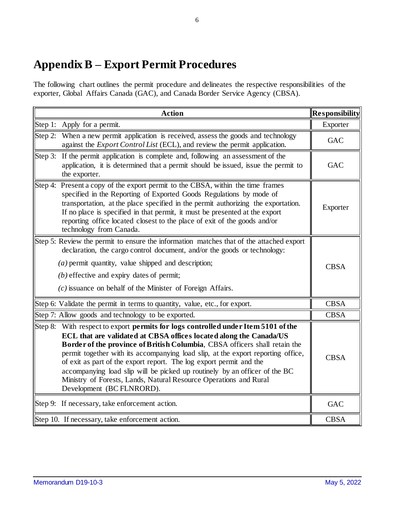# <span id="page-5-0"></span>**Appendix B – Export Permit Procedures**

The following chart outlines the permit procedure and delineates the respective responsibilities of the exporter, Global Affairs Canada (GAC), and Canada Border Service Agency (CBSA).

|         | <b>Action</b>                                                                                                                                                                                                                                                                                                                                                                                                                                                                                                                                                                           | <b>Responsibility</b> |
|---------|-----------------------------------------------------------------------------------------------------------------------------------------------------------------------------------------------------------------------------------------------------------------------------------------------------------------------------------------------------------------------------------------------------------------------------------------------------------------------------------------------------------------------------------------------------------------------------------------|-----------------------|
|         | Step 1: Apply for a permit.                                                                                                                                                                                                                                                                                                                                                                                                                                                                                                                                                             | Exporter              |
| Step 2: | When a new permit application is received, assess the goods and technology<br>against the <i>Export Control List</i> (ECL), and review the permit application.                                                                                                                                                                                                                                                                                                                                                                                                                          | <b>GAC</b>            |
|         | Step 3: If the permit application is complete and, following an assessment of the<br>application, it is determined that a permit should be issued, issue the permit to<br>the exporter.                                                                                                                                                                                                                                                                                                                                                                                                 | <b>GAC</b>            |
|         | Step 4: Present a copy of the export permit to the CBSA, within the time frames<br>specified in the Reporting of Exported Goods Regulations by mode of<br>transportation, at the place specified in the permit authorizing the exportation.<br>If no place is specified in that permit, it must be presented at the export<br>reporting office located closest to the place of exit of the goods and/or<br>technology from Canada.                                                                                                                                                      | Exporter              |
|         | Step 5: Review the permit to ensure the information matches that of the attached export<br>declaration, the cargo control document, and/or the goods or technology:<br>$(a)$ permit quantity, value shipped and description;<br>$(b)$ effective and expiry dates of permit;<br>$(c)$ issuance on behalf of the Minister of Foreign Affairs.                                                                                                                                                                                                                                             | <b>CBSA</b>           |
|         | Step 6: Validate the permit in terms to quantity, value, etc., for export.                                                                                                                                                                                                                                                                                                                                                                                                                                                                                                              | <b>CBSA</b>           |
|         | Step 7: Allow goods and technology to be exported.                                                                                                                                                                                                                                                                                                                                                                                                                                                                                                                                      | <b>CBSA</b>           |
|         | Step 8: With respect to export <b>permits for logs controlled under Item 5101 of the</b><br>ECL that are validated at CBSA offices located along the Canada/US<br>Border of the province of British Columbia, CBSA officers shall retain the<br>permit together with its accompanying load slip, at the export reporting office,<br>of exit as part of the export report. The log export permit and the<br>accompanying load slip will be picked up routinely by an officer of the BC<br>Ministry of Forests, Lands, Natural Resource Operations and Rural<br>Development (BC FLNRORD). | <b>CBSA</b>           |
|         | Step 9: If necessary, take enforcement action.                                                                                                                                                                                                                                                                                                                                                                                                                                                                                                                                          | <b>GAC</b>            |
|         | Step 10. If necessary, take enforcement action.                                                                                                                                                                                                                                                                                                                                                                                                                                                                                                                                         | <b>CBSA</b>           |